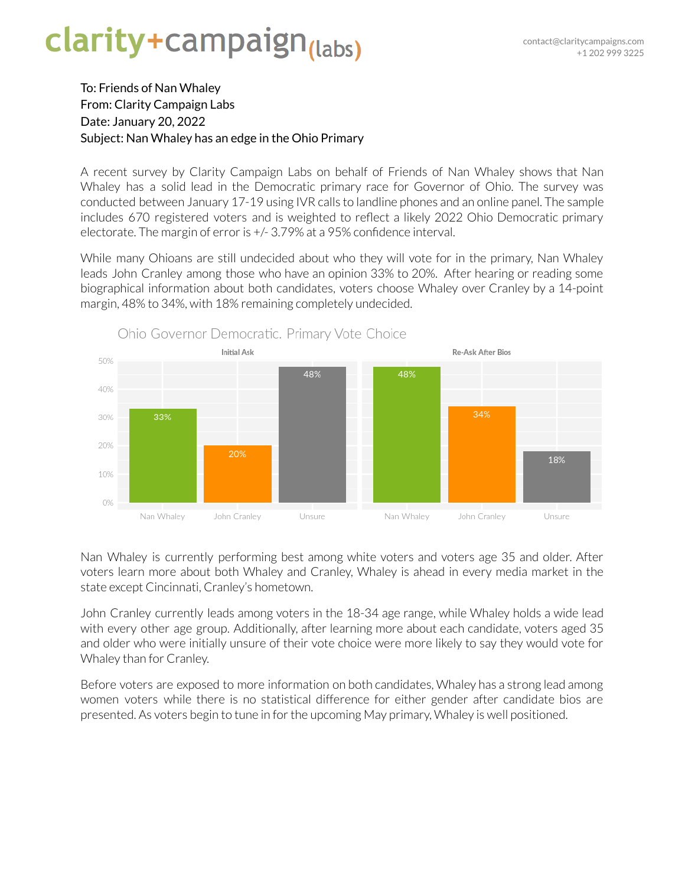## clarity+campaign<sub>(labs)</sub>

## To: Friends of Nan Whaley From: Clarity Campaign Labs Date: January 20, 2022 Subject: Nan Whaley has an edge in the Ohio Primary

A recent survey by Clarity Campaign Labs on behalf of Friends of Nan Whaley shows that Nan Whaley has a solid lead in the Democratic primary race for Governor of Ohio. The survey was conducted between January 17-19 using IVR calls to landline phones and an online panel. The sample includes 670 registered voters and is weighted to reflect a likely 2022 Ohio Democratic primary electorate. The margin of error is  $+/3.79\%$  at a 95% confidence interval.

While many Ohioans are still undecided about who they will vote for in the primary, Nan Whaley leads John Cranley among those who have an opinion 33% to 20%. After hearing or reading some biographical information about both candidates, voters choose Whaley over Cranley by a 14-point margin, 48% to 34%, with 18% remaining completely undecided.



Nan Whaley is currently performing best among white voters and voters age 35 and older. After voters learn more about both Whaley and Cranley, Whaley is ahead in every media market in the state except Cincinnati, Cranley's hometown.

John Cranley currently leads among voters in the 18-34 age range, while Whaley holds a wide lead with every other age group. Additionally, after learning more about each candidate, voters aged 35 and older who were initially unsure of their vote choice were more likely to say they would vote for Whaley than for Cranley.

Before voters are exposed to more information on both candidates, Whaley has a strong lead among women voters while there is no statistical difference for either gender after candidate bios are presented. As voters begin to tune in for the upcoming May primary, Whaley is well positioned.